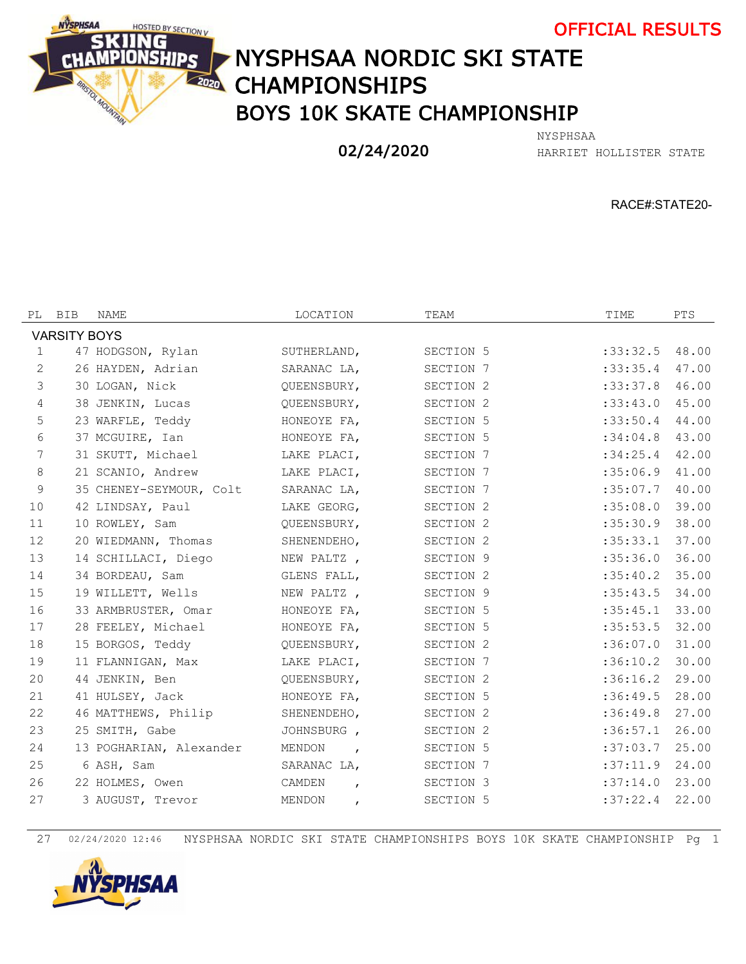



## NYSPHSAA NORDIC SKI STATE **READ CHAMPIONSHIPS** BOYS 10K SKATE CHAMPIONSHIP

02/24/2020

HARRIET HOLLISTER STATE NYSPHSAA

RACE#:STATE20-

| PL                  | <b>BIB</b> | NAME                    | LOCATION                 | TEAM                 | TIME             | PTS   |  |  |  |  |  |
|---------------------|------------|-------------------------|--------------------------|----------------------|------------------|-------|--|--|--|--|--|
| <b>VARSITY BOYS</b> |            |                         |                          |                      |                  |       |  |  |  |  |  |
| $\mathbf{1}$        |            | 47 HODGSON, Rylan       | SUTHERLAND,              | SECTION 5            | $:33:32.5$ 48.00 |       |  |  |  |  |  |
| 2                   |            | 26 HAYDEN, Adrian       | SARANAC LA,              | SECTION 7            | :33:35.4         | 47.00 |  |  |  |  |  |
| $\mathfrak{Z}$      |            | 30 LOGAN, Nick          | OUEENSBURY,              | SECTION 2            | :33:37.8         | 46.00 |  |  |  |  |  |
| 4                   |            | 38 JENKIN, Lucas        | QUEENSBURY,              | SECTION 2            | $:33:43.0$ 45.00 |       |  |  |  |  |  |
| 5                   |            | 23 WARFLE, Teddy        | HONEOYE FA,              | SECTION 5            | $:33:50.4$ 44.00 |       |  |  |  |  |  |
| 6                   |            | 37 MCGUIRE, Ian         | HONEOYE FA,              | SECTION 5            | :34:04.8         | 43.00 |  |  |  |  |  |
| 7                   |            | 31 SKUTT, Michael       | LAKE PLACI,              | SECTION 7            | $:34:25.4$ 42.00 |       |  |  |  |  |  |
| 8                   |            | 21 SCANIO, Andrew       | LAKE PLACI,              | SECTION 7            | $:35:06.9$ 41.00 |       |  |  |  |  |  |
| 9                   |            | 35 CHENEY-SEYMOUR, Colt | SARANAC LA,              | SECTION 7            | $:35:07.7$ 40.00 |       |  |  |  |  |  |
| 10                  |            | 42 LINDSAY, Paul        | LAKE GEORG,              | SECTION 2            | :35:08.0         | 39.00 |  |  |  |  |  |
| 11                  |            | 10 ROWLEY, Sam          | OUEENSBURY,              | SECTION 2            | $:35:30.9$ 38.00 |       |  |  |  |  |  |
| 12                  |            | 20 WIEDMANN, Thomas     | SHENENDEHO,              | SECTION <sub>2</sub> | $:35:33.1$ 37.00 |       |  |  |  |  |  |
| 13                  |            | 14 SCHILLACI, Diego     | NEW PALTZ,               | SECTION 9            | :35:36.0         | 36.00 |  |  |  |  |  |
| 14                  |            | 34 BORDEAU, Sam         | GLENS FALL,              | SECTION 2            | :35:40.2         | 35.00 |  |  |  |  |  |
| 15                  |            | 19 WILLETT, Wells       | NEW PALTZ,               | SECTION 9            | $:35:43.5$ 34.00 |       |  |  |  |  |  |
| 16                  |            | 33 ARMBRUSTER, Omar     | HONEOYE FA,              | SECTION 5            | $:35:45.1$ 33.00 |       |  |  |  |  |  |
| 17                  |            | 28 FEELEY, Michael      | HONEOYE FA,              | SECTION 5            | :35:53.5         | 32.00 |  |  |  |  |  |
| 18                  |            | 15 BORGOS, Teddy        | OUEENSBURY,              | SECTION <sub>2</sub> | :36:07.0         | 31.00 |  |  |  |  |  |
| 19                  |            | 11 FLANNIGAN, Max       | LAKE PLACI,              | SECTION 7            | $:36:10.2$ 30.00 |       |  |  |  |  |  |
| 20                  |            | 44 JENKIN, Ben          | OUEENSBURY,              | SECTION 2            | $:36:16.2$ 29.00 |       |  |  |  |  |  |
| 21                  |            | 41 HULSEY, Jack         | HONEOYE FA,              | SECTION 5            | :36:49.5         | 28.00 |  |  |  |  |  |
| 22                  |            | 46 MATTHEWS, Philip     | SHENENDEHO,              | SECTION <sub>2</sub> | :36:49.8         | 27.00 |  |  |  |  |  |
| 23                  |            | 25 SMITH, Gabe          | JOHNSBURG,               | SECTION 2            | $:36:57.1$ 26.00 |       |  |  |  |  |  |
| 24                  |            | 13 POGHARIAN, Alexander | MENDON<br>$\overline{ }$ | SECTION 5            | $:37:03.7$ 25.00 |       |  |  |  |  |  |
| 25                  |            | 6 ASH, Sam              | SARANAC LA,              | SECTION 7            | $:37:11.9$ 24.00 |       |  |  |  |  |  |
| 26                  |            | 22 HOLMES, Owen         | CAMDEN<br>$\mathbf{r}$   | SECTION 3            | :37:14.0         | 23.00 |  |  |  |  |  |
| 27                  |            | 3 AUGUST, Trevor        | MENDON<br>$\mathbf{r}$   | SECTION 5            | :37:22.4         | 22.00 |  |  |  |  |  |
|                     |            |                         |                          |                      |                  |       |  |  |  |  |  |

02/24/2020 12:46 NYSPHSAA NORDIC SKI STATE CHAMPIONSHIPS BOYS 10K SKATE CHAMPIONSHIP Pg 1